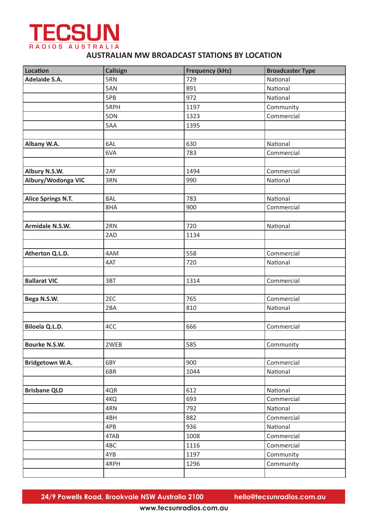

## **AUSTRALIAN MW BROADCAST STATIONS BY LOCATION**

| <b>Location</b>           | <b>Callsign</b> | <b>Frequency (kHz)</b> | <b>Broadcaster Type</b> |
|---------------------------|-----------------|------------------------|-------------------------|
| <b>Adelaide S.A.</b>      | 5RN             | 729                    | National                |
|                           | 5AN             | 891                    | National                |
|                           | 5PB             | 972                    | National                |
|                           | 5RPH            | 1197                   | Community               |
|                           | 5DN             | 1323                   | Commercial              |
|                           | 5AA             | 1395                   |                         |
|                           |                 |                        |                         |
| Albany W.A.               | 6AL             | 630                    | National                |
|                           | 6VA             | 783                    | Commercial              |
|                           |                 |                        |                         |
| Albury N.S.W.             | 2AY             | 1494                   | Commercial              |
| Albury/Wodonga VIC        | 3RN             | 990                    | National                |
|                           |                 |                        |                         |
| <b>Alice Springs N.T.</b> | 8AL             | 783                    | National                |
|                           | 8HA             | 900                    | Commercial              |
|                           |                 |                        |                         |
| Armidale N.S.W.           | 2RN             | 720                    | National                |
|                           | 2AD             | 1134                   |                         |
|                           |                 |                        |                         |
| Atherton Q.L.D.           | 4AM             | 558                    | Commercial              |
|                           | 4AT             | 720                    | National                |
|                           |                 |                        |                         |
| <b>Ballarat VIC</b>       | 3BT             | 1314                   | Commercial              |
|                           |                 |                        |                         |
| Bega N.S.W.               | 2EC             | 765                    | Commercial              |
|                           | 2BA             | 810                    | National                |
|                           |                 |                        |                         |
| Biloela Q.L.D.            | 4CC             | 666                    | Commercial              |
|                           |                 |                        |                         |
| Bourke N.S.W.             | 2WEB            | 585                    | Community               |
|                           |                 |                        |                         |
| Bridgetown W.A.           | 6BY             | 900                    | Commercial              |
|                           | 6BR             | 1044                   | National                |
|                           |                 |                        |                         |
| <b>Brisbane QLD</b>       | 4QR             | 612                    | National                |
|                           | 4KQ             | 693                    | Commercial              |
|                           | 4RN             | 792                    | National                |
|                           | 4BH             | 882                    | Commercial              |
|                           | 4PB             | 936                    | National                |
|                           | 4TAB            | 1008                   | Commercial              |
|                           | 4BC             | 1116                   | Commercial              |
|                           | 4YB             | 1197                   | Community               |
|                           | 4RPH            | 1296                   | Community               |
|                           |                 |                        |                         |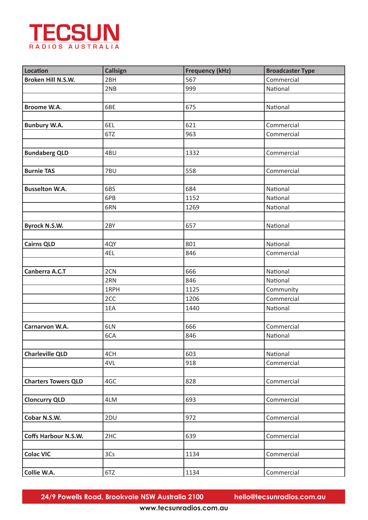

| <b>Location</b>             | <b>Callsign</b> | <b>Frequency (kHz)</b> | <b>Broadcaster Type</b> |
|-----------------------------|-----------------|------------------------|-------------------------|
| Broken Hill N.S.W.          | 2BH             | 567                    | Commercial              |
|                             | 2NB             | 999                    | National                |
|                             |                 |                        |                         |
| Broome W.A.                 | 6BE             | 675                    | National                |
|                             |                 |                        |                         |
| <b>Bunbury W.A.</b>         | 6EL             | 621                    | Commercial              |
|                             | 6TZ             | 963                    | Commercial              |
|                             |                 |                        |                         |
| <b>Bundaberg QLD</b>        | 4BU             | 1332                   | Commercial              |
|                             |                 |                        |                         |
| <b>Burnie TAS</b>           | 7BU             | 558                    | Commercial              |
|                             |                 |                        |                         |
| <b>Busselton W.A.</b>       | 6BS             | 684                    | National                |
|                             | 6PB             | 1152                   | National                |
|                             | 6RN             | 1269                   | National                |
|                             |                 |                        |                         |
| <b>Byrock N.S.W.</b>        | 2BY             | 657                    | National                |
|                             |                 |                        |                         |
| <b>Cairns QLD</b>           | 4QY             | 801                    | National                |
|                             | 4EL             | 846                    | Commercial              |
|                             |                 |                        |                         |
| Canberra A.C.T              | 2CN             | 666                    | National                |
|                             | 2RN             | 846                    | National                |
|                             | 1RPH            | 1125                   | Community               |
|                             | 2CC             | 1206                   | Commercial              |
|                             | 1EA             | 1440                   | National                |
|                             |                 |                        |                         |
| Carnarvon W.A.              | 6LN             | 666                    | Commercial              |
|                             | 6CA             | 846                    | National                |
|                             |                 |                        |                         |
| <b>Charleville QLD</b>      | 4CH             | 603                    | National                |
|                             | 4VL             | 918                    | Commercial              |
|                             |                 |                        |                         |
| <b>Charters Towers QLD</b>  | 4GC             | 828                    | Commercial              |
|                             |                 |                        |                         |
| <b>Cloncurry QLD</b>        | 4LM             | 693                    | Commercial              |
|                             |                 |                        |                         |
| Cobar N.S.W.                | 2DU             | 972                    | Commercial              |
|                             |                 |                        |                         |
| <b>Coffs Harbour N.S.W.</b> | 2HC             | 639                    | Commercial              |
|                             |                 |                        |                         |
| <b>Colac VIC</b>            | 3Cs             | 1134                   | Commercial              |
|                             |                 |                        |                         |
| Collie W.A.                 | 6TZ             | 1134                   | Commercial              |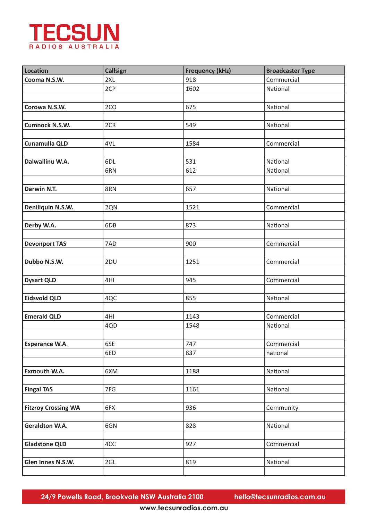

| <b>Location</b>            | <b>Callsign</b> | <b>Frequency (kHz)</b> | <b>Broadcaster Type</b> |
|----------------------------|-----------------|------------------------|-------------------------|
| Cooma N.S.W.               | 2XL             | 918                    | Commercial              |
|                            | 2CP             | 1602                   | National                |
|                            |                 |                        |                         |
| Corowa N.S.W.              | 2CO             | 675                    | National                |
|                            |                 |                        |                         |
| <b>Cumnock N.S.W.</b>      | 2CR             | 549                    | National                |
|                            |                 |                        |                         |
| <b>Cunamulla QLD</b>       | 4VL             | 1584                   | Commercial              |
|                            |                 |                        |                         |
| Dalwallinu W.A.            | 6DL             | 531                    | National                |
|                            | 6RN             | 612                    | National                |
|                            |                 |                        |                         |
| Darwin N.T.                | 8RN             | 657                    | National                |
|                            |                 |                        |                         |
| Deniliquin N.S.W.          | 2QN             | 1521                   | Commercial              |
|                            |                 |                        |                         |
| Derby W.A.                 | 6DB             | 873                    | National                |
|                            |                 |                        |                         |
| <b>Devonport TAS</b>       | 7AD             | 900                    | Commercial              |
|                            |                 |                        |                         |
| Dubbo N.S.W.               | 2DU             | 1251                   | Commercial              |
|                            |                 |                        |                         |
| <b>Dysart QLD</b>          | 4HI             | 945                    | Commercial              |
|                            |                 |                        |                         |
| <b>Eidsvold QLD</b>        | 4QC             | 855                    | National                |
|                            |                 |                        |                         |
| <b>Emerald QLD</b>         | 4HI             | 1143                   | Commercial              |
|                            | 4QD             | 1548                   | National                |
|                            |                 |                        |                         |
| <b>Esperance W.A.</b>      | 6SE             | 747                    | Commercial              |
|                            | 6ED             | 837                    | national                |
|                            |                 |                        |                         |
| <b>Exmouth W.A.</b>        | 6XM             | 1188                   | National                |
|                            |                 |                        |                         |
| <b>Fingal TAS</b>          | 7FG             | 1161                   | National                |
|                            |                 |                        |                         |
| <b>Fitzroy Crossing WA</b> | 6FX             | 936                    | Community               |
|                            |                 |                        |                         |
| <b>Geraldton W.A.</b>      | 6GN             | 828                    | National                |
|                            |                 |                        |                         |
| <b>Gladstone QLD</b>       | 4CC             | 927                    | Commercial              |
|                            |                 |                        |                         |
| Glen Innes N.S.W.          | 2GL             | 819                    | National                |
|                            |                 |                        |                         |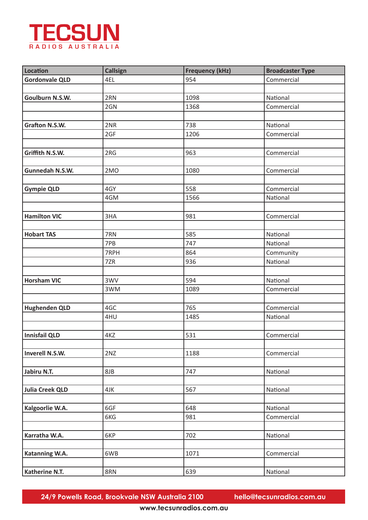

| <b>Location</b>        | <b>Callsign</b> | <b>Frequency (kHz)</b> | <b>Broadcaster Type</b> |
|------------------------|-----------------|------------------------|-------------------------|
| <b>Gordonvale QLD</b>  | 4EL             | 954                    | Commercial              |
|                        |                 |                        |                         |
| Goulburn N.S.W.        | 2RN             | 1098                   | National                |
|                        | 2GN             | 1368                   | Commercial              |
|                        |                 |                        |                         |
| <b>Grafton N.S.W.</b>  | 2NR             | 738                    | National                |
|                        | 2GF             | 1206                   | Commercial              |
|                        |                 |                        |                         |
| Griffith N.S.W.        | 2RG             | 963                    | Commercial              |
|                        |                 |                        |                         |
| Gunnedah N.S.W.        | 2MO             | 1080                   | Commercial              |
|                        |                 |                        |                         |
| <b>Gympie QLD</b>      | 4GY             | 558                    | Commercial              |
|                        | 4GM             | 1566                   | National                |
|                        |                 |                        |                         |
| <b>Hamilton VIC</b>    | 3HA             | 981                    | Commercial              |
|                        |                 |                        |                         |
| <b>Hobart TAS</b>      | 7RN             | 585                    | National                |
|                        | 7PB             | 747                    | National                |
|                        | 7RPH            | 864                    | Community               |
|                        | 7ZR             | 936                    | National                |
|                        |                 |                        |                         |
| <b>Horsham VIC</b>     | 3WV             | 594                    | National                |
|                        | 3WM             | 1089                   | Commercial              |
|                        |                 |                        |                         |
| <b>Hughenden QLD</b>   | 4GC             | 765                    | Commercial              |
|                        | 4HU             | 1485                   | National                |
|                        |                 |                        |                         |
| <b>Innisfail QLD</b>   | 4KZ             | 531                    | Commercial              |
|                        |                 |                        |                         |
| Inverell N.S.W.        | 2NZ             | 1188                   | Commercial              |
|                        |                 |                        |                         |
| Jabiru N.T.            | 8JB             | 747                    | National                |
|                        |                 |                        |                         |
| <b>Julia Creek QLD</b> | 4JK             | 567                    | National                |
|                        |                 |                        |                         |
| Kalgoorlie W.A.        | 6GF             | 648                    | National                |
|                        | 6KG             | 981                    | Commercial              |
|                        |                 |                        |                         |
| Karratha W.A.          | 6KP             | 702                    | National                |
|                        |                 |                        |                         |
| Katanning W.A.         | 6WB             | 1071                   | Commercial              |
|                        |                 |                        |                         |
| Katherine N.T.         | 8RN             | 639                    | National                |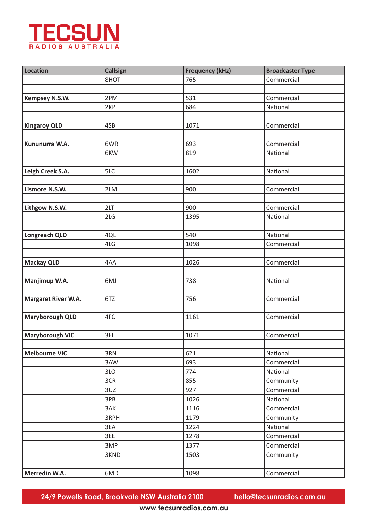

| <b>Location</b>        | <b>Callsign</b> | <b>Frequency (kHz)</b> | <b>Broadcaster Type</b> |
|------------------------|-----------------|------------------------|-------------------------|
|                        | 8HOT            | 765                    | Commercial              |
|                        |                 |                        |                         |
| Kempsey N.S.W.         | 2PM             | 531                    | Commercial              |
|                        | 2KP             | 684                    | National                |
|                        |                 |                        |                         |
| <b>Kingaroy QLD</b>    | 4SB             | 1071                   | Commercial              |
|                        |                 |                        |                         |
| Kununurra W.A.         | 6WR             | 693                    | Commercial              |
|                        | 6KW             | 819                    | National                |
|                        |                 |                        |                         |
| Leigh Creek S.A.       | 5LC             | 1602                   | National                |
|                        |                 |                        |                         |
| Lismore N.S.W.         | 2LM             | 900                    | Commercial              |
|                        |                 |                        |                         |
| Lithgow N.S.W.         | 2LT             | 900                    | Commercial              |
|                        | 2LG             | 1395                   | National                |
|                        |                 |                        |                         |
| Longreach QLD          | 4QL             | 540                    | National                |
|                        | 4LG             | 1098                   | Commercial              |
|                        |                 |                        |                         |
| <b>Mackay QLD</b>      | 4AA             | 1026                   | Commercial              |
|                        |                 |                        |                         |
| Manjimup W.A.          | 6MJ             | 738                    | National                |
|                        |                 |                        |                         |
| Margaret River W.A.    | 6TZ             | 756                    | Commercial              |
|                        |                 |                        |                         |
| <b>Maryborough QLD</b> | 4FC             | 1161                   | Commercial              |
|                        |                 |                        |                         |
| <b>Maryborough VIC</b> | 3EL             | 1071                   | Commercial              |
|                        |                 |                        |                         |
| <b>Melbourne VIC</b>   | 3RN             | 621                    | National                |
|                        | 3AW             | 693                    | Commercial              |
|                        | 3LO             | 774                    | National                |
|                        | 3CR             | 855                    | Community               |
|                        | 3UZ             | 927                    | Commercial              |
|                        | 3PB             | 1026                   | National                |
|                        | 3AK             | 1116                   | Commercial              |
|                        | 3RPH            | 1179                   | Community               |
|                        | 3EA             | 1224                   | National                |
|                        | 3EE             | 1278                   | Commercial              |
|                        | 3MP             | 1377                   | Commercial              |
|                        | 3KND            | 1503                   | Community               |
|                        |                 |                        |                         |
| Merredin W.A.          | 6MD             | 1098                   | Commercial              |
|                        |                 |                        |                         |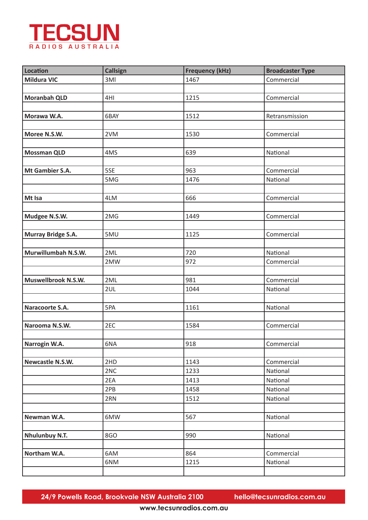

| <b>Location</b>     | <b>Callsign</b> | <b>Frequency (kHz)</b> | <b>Broadcaster Type</b> |
|---------------------|-----------------|------------------------|-------------------------|
| <b>Mildura VIC</b>  | 3MI             | 1467                   | Commercial              |
|                     |                 |                        |                         |
| <b>Moranbah QLD</b> | 4HI             | 1215                   | Commercial              |
|                     |                 |                        |                         |
| Morawa W.A.         | 6BAY            | 1512                   | Retransmission          |
|                     |                 |                        |                         |
| Moree N.S.W.        | 2VM             | 1530                   | Commercial              |
|                     |                 |                        |                         |
| <b>Mossman QLD</b>  | 4MS             | 639                    | National                |
|                     |                 |                        |                         |
| Mt Gambier S.A.     | 5SE             | 963                    | Commercial              |
|                     | 5MG             | 1476                   | National                |
|                     |                 |                        |                         |
| Mt Isa              | 4LM             | 666                    | Commercial              |
|                     |                 |                        |                         |
| Mudgee N.S.W.       | 2MG             | 1449                   | Commercial              |
|                     |                 |                        |                         |
| Murray Bridge S.A.  | 5MU             | 1125                   | Commercial              |
|                     |                 |                        |                         |
| Murwillumbah N.S.W. | 2ML             | 720                    | National                |
|                     | 2MW             | 972                    | Commercial              |
|                     |                 |                        |                         |
| Muswellbrook N.S.W. | 2ML             | 981                    | Commercial              |
|                     | 2UL             | 1044                   | National                |
|                     |                 |                        |                         |
| Naracoorte S.A.     | 5PA             | 1161                   | National                |
|                     |                 |                        |                         |
| Narooma N.S.W.      | 2EC             | 1584                   | Commercial              |
|                     |                 |                        |                         |
| Narrogin W.A.       | 6NA             | 918                    | Commercial              |
|                     |                 |                        |                         |
| Newcastle N.S.W.    | 2HD             | 1143                   | Commercial              |
|                     | 2NC             | 1233                   | National                |
|                     | 2EA             | 1413                   | National                |
|                     | 2PB             | 1458                   | National                |
|                     | 2RN             | 1512                   | National                |
|                     |                 |                        |                         |
| Newman W.A.         | 6MW             | 567                    | National                |
|                     |                 |                        |                         |
| Nhulunbuy N.T.      | 8GO             | 990                    | National                |
|                     |                 |                        |                         |
|                     |                 |                        |                         |
| Northam W.A.        | 6AM             | 864<br>1215            | Commercial              |
|                     | 6NM             |                        | National                |
|                     |                 |                        |                         |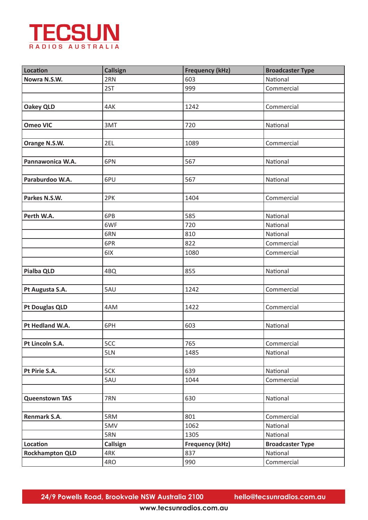

| <b>Callsign</b> | <b>Frequency (kHz)</b>                      | <b>Broadcaster Type</b>                                            |
|-----------------|---------------------------------------------|--------------------------------------------------------------------|
| 2RN             | 603                                         | National                                                           |
| 2ST             | 999                                         | Commercial                                                         |
|                 |                                             |                                                                    |
| 4AK             | 1242                                        | Commercial                                                         |
|                 |                                             |                                                                    |
| 3MT             | 720                                         | National                                                           |
|                 |                                             |                                                                    |
| 2EL             | 1089                                        | Commercial                                                         |
|                 |                                             |                                                                    |
| 6PN             | 567                                         | National                                                           |
|                 |                                             |                                                                    |
| 6PU             | 567                                         | National                                                           |
|                 |                                             |                                                                    |
| 2PK             | 1404                                        | Commercial                                                         |
|                 |                                             |                                                                    |
| 6PB             |                                             | National                                                           |
| 6WF             | 720                                         | National                                                           |
| 6RN             | 810                                         | National                                                           |
| 6PR             | 822                                         | Commercial                                                         |
|                 |                                             | Commercial                                                         |
|                 |                                             |                                                                    |
|                 |                                             | National                                                           |
|                 |                                             |                                                                    |
|                 |                                             | Commercial                                                         |
|                 |                                             |                                                                    |
| 4AM             | 1422                                        | Commercial                                                         |
|                 |                                             |                                                                    |
| 6PH             | 603                                         | National                                                           |
|                 |                                             |                                                                    |
|                 |                                             | Commercial                                                         |
| 5LN             | 1485                                        | National                                                           |
|                 |                                             |                                                                    |
| 5CK             | 639                                         | National                                                           |
| 5AU             | 1044                                        | Commercial                                                         |
|                 |                                             |                                                                    |
| 7RN             |                                             | National                                                           |
|                 |                                             |                                                                    |
| 5RM             | 801                                         | Commercial                                                         |
| 5MV             | 1062                                        | National                                                           |
| 5RN             | 1305                                        | National                                                           |
|                 |                                             | <b>Broadcaster Type</b>                                            |
| 4RK             | 837                                         | National                                                           |
| 4RO             | 990                                         | Commercial                                                         |
|                 | 6IX<br>4BQ<br>5AU<br>5CC<br><b>Callsign</b> | 585<br>1080<br>855<br>1242<br>765<br>630<br><b>Frequency (kHz)</b> |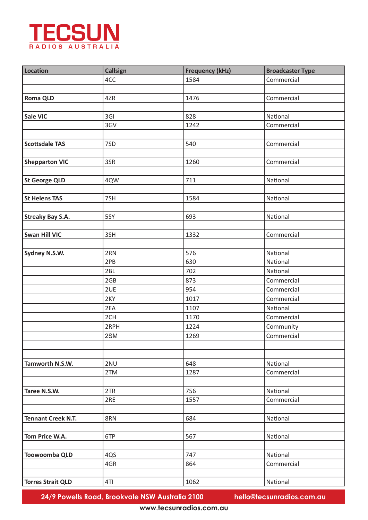

| <b>Location</b>           | <b>Callsign</b> | <b>Frequency (kHz)</b> | <b>Broadcaster Type</b> |
|---------------------------|-----------------|------------------------|-------------------------|
|                           | 4CC             | 1584                   | Commercial              |
|                           |                 |                        |                         |
| <b>Roma QLD</b>           | 4ZR             | 1476                   | Commercial              |
|                           |                 |                        |                         |
| Sale VIC                  | 3GI             | 828                    | National                |
|                           | 3GV             | 1242                   | Commercial              |
|                           |                 |                        |                         |
| <b>Scottsdale TAS</b>     | 7SD             | 540                    | Commercial              |
|                           |                 |                        |                         |
| <b>Shepparton VIC</b>     | 3SR             | 1260                   | Commercial              |
|                           |                 |                        |                         |
| <b>St George QLD</b>      | 4QW             | 711                    | National                |
|                           |                 |                        |                         |
| <b>St Helens TAS</b>      | 7SH             | 1584                   | National                |
|                           |                 |                        |                         |
| <b>Streaky Bay S.A.</b>   | 5SY             | 693                    | National                |
|                           |                 |                        |                         |
| <b>Swan Hill VIC</b>      | 3SH             | 1332                   | Commercial              |
|                           |                 |                        |                         |
| Sydney N.S.W.             | 2RN             | 576                    | National                |
|                           | 2PB             | 630                    | National                |
|                           | 2BL             | 702                    | National                |
|                           | 2GB             | 873                    | Commercial              |
|                           | 2UE             | 954                    | Commercial              |
|                           | 2KY             | 1017                   | Commercial              |
|                           | 2EA             | 1107                   | National                |
|                           | 2CH             | 1170                   | Commercial              |
|                           | 2RPH            | 1224                   | Community               |
|                           | 2SM             | 1269                   | Commercial              |
|                           |                 |                        |                         |
|                           |                 |                        |                         |
| Tamworth N.S.W.           | 2NU             | 648                    | National                |
|                           | 2TM             | 1287                   | Commercial              |
|                           |                 |                        |                         |
| Taree N.S.W.              | 2TR             | 756                    | National                |
|                           | 2RE             | 1557                   | Commercial              |
|                           |                 |                        |                         |
| <b>Tennant Creek N.T.</b> | 8RN             | 684                    | National                |
|                           |                 |                        |                         |
| Tom Price W.A.            | 6TP             | 567                    | National                |
|                           |                 |                        |                         |
| Toowoomba QLD             | 4QS             | 747                    | National                |
|                           | 4GR             | 864                    | Commercial              |
|                           |                 |                        |                         |
| <b>Torres Strait QLD</b>  | 4TI             | 1062                   | National                |